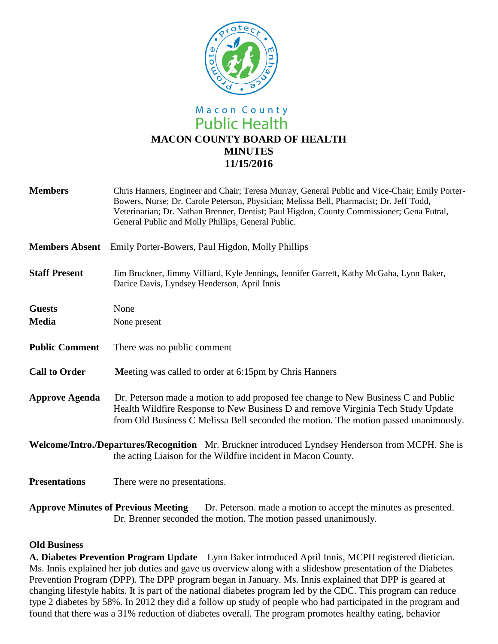

# Macon County **Public Health MACON COUNTY BOARD OF HEALTH MINUTES 11/15/2016**

| <b>Members</b>                                                                                                | Chris Hanners, Engineer and Chair; Teresa Murray, General Public and Vice-Chair; Emily Porter-<br>Bowers, Nurse; Dr. Carole Peterson, Physician; Melissa Bell, Pharmacist; Dr. Jeff Todd,<br>Veterinarian; Dr. Nathan Brenner, Dentist; Paul Higdon, County Commissioner; Gena Futral,<br>General Public and Molly Phillips, General Public. |
|---------------------------------------------------------------------------------------------------------------|----------------------------------------------------------------------------------------------------------------------------------------------------------------------------------------------------------------------------------------------------------------------------------------------------------------------------------------------|
| <b>Members Absent</b>                                                                                         | Emily Porter-Bowers, Paul Higdon, Molly Phillips                                                                                                                                                                                                                                                                                             |
| <b>Staff Present</b>                                                                                          | Jim Bruckner, Jimmy Villiard, Kyle Jennings, Jennifer Garrett, Kathy McGaha, Lynn Baker,<br>Darice Davis, Lyndsey Henderson, April Innis                                                                                                                                                                                                     |
| <b>Guests</b>                                                                                                 | None                                                                                                                                                                                                                                                                                                                                         |
| <b>Media</b>                                                                                                  | None present                                                                                                                                                                                                                                                                                                                                 |
| <b>Public Comment</b>                                                                                         | There was no public comment                                                                                                                                                                                                                                                                                                                  |
| <b>Call to Order</b>                                                                                          | Meeting was called to order at 6:15pm by Chris Hanners                                                                                                                                                                                                                                                                                       |
| <b>Approve Agenda</b>                                                                                         | Dr. Peterson made a motion to add proposed fee change to New Business C and Public<br>Health Wildfire Response to New Business D and remove Virginia Tech Study Update<br>from Old Business C Melissa Bell seconded the motion. The motion passed unanimously.                                                                               |
|                                                                                                               | Welcome/Intro./Departures/Recognition Mr. Bruckner introduced Lyndsey Henderson from MCPH. She is<br>the acting Liaison for the Wildfire incident in Macon County.                                                                                                                                                                           |
| <b>Presentations</b>                                                                                          | There were no presentations.                                                                                                                                                                                                                                                                                                                 |
| <b>Approve Minutes of Previous Meeting</b><br>Dr. Peterson. made a motion to accept the minutes as presented. |                                                                                                                                                                                                                                                                                                                                              |

#### **Old Business**

**A. Diabetes Prevention Program Update** Lynn Baker introduced April Innis, MCPH registered dietician. Ms. Innis explained her job duties and gave us overview along with a slideshow presentation of the Diabetes Prevention Program (DPP). The DPP program began in January. Ms. Innis explained that DPP is geared at changing lifestyle habits. It is part of the national diabetes program led by the CDC. This program can reduce type 2 diabetes by 58%. In 2012 they did a follow up study of people who had participated in the program and found that there was a 31% reduction of diabetes overall. The program promotes healthy eating, behavior

Dr. Brenner seconded the motion. The motion passed unanimously.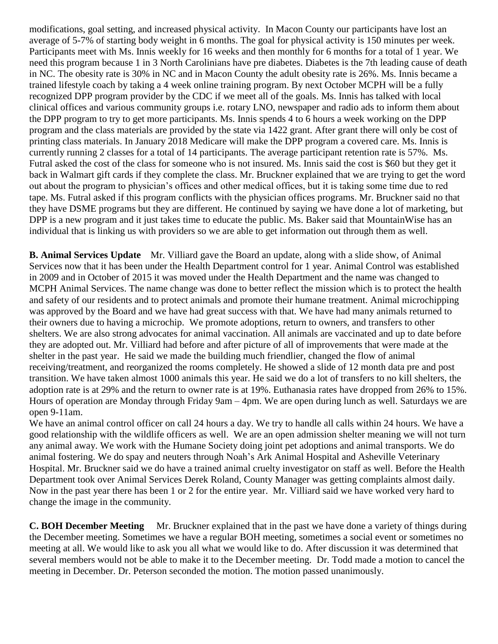modifications, goal setting, and increased physical activity. In Macon County our participants have lost an average of 5-7% of starting body weight in 6 months. The goal for physical activity is 150 minutes per week. Participants meet with Ms. Innis weekly for 16 weeks and then monthly for 6 months for a total of 1 year. We need this program because 1 in 3 North Carolinians have pre diabetes. Diabetes is the 7th leading cause of death in NC. The obesity rate is 30% in NC and in Macon County the adult obesity rate is 26%. Ms. Innis became a trained lifestyle coach by taking a 4 week online training program. By next October MCPH will be a fully recognized DPP program provider by the CDC if we meet all of the goals. Ms. Innis has talked with local clinical offices and various community groups i.e. rotary LNO, newspaper and radio ads to inform them about the DPP program to try to get more participants. Ms. Innis spends 4 to 6 hours a week working on the DPP program and the class materials are provided by the state via 1422 grant. After grant there will only be cost of printing class materials. In January 2018 Medicare will make the DPP program a covered care. Ms. Innis is currently running 2 classes for a total of 14 participants. The average participant retention rate is 57%. Ms. Futral asked the cost of the class for someone who is not insured. Ms. Innis said the cost is \$60 but they get it back in Walmart gift cards if they complete the class. Mr. Bruckner explained that we are trying to get the word out about the program to physician's offices and other medical offices, but it is taking some time due to red tape. Ms. Futral asked if this program conflicts with the physician offices programs. Mr. Bruckner said no that they have DSME programs but they are different. He continued by saying we have done a lot of marketing, but DPP is a new program and it just takes time to educate the public. Ms. Baker said that MountainWise has an individual that is linking us with providers so we are able to get information out through them as well.

**B. Animal Services Update** Mr. Villiard gave the Board an update, along with a slide show, of Animal Services now that it has been under the Health Department control for 1 year. Animal Control was established in 2009 and in October of 2015 it was moved under the Health Department and the name was changed to MCPH Animal Services. The name change was done to better reflect the mission which is to protect the health and safety of our residents and to protect animals and promote their humane treatment. Animal microchipping was approved by the Board and we have had great success with that. We have had many animals returned to their owners due to having a microchip. We promote adoptions, return to owners, and transfers to other shelters. We are also strong advocates for animal vaccination. All animals are vaccinated and up to date before they are adopted out. Mr. Villiard had before and after picture of all of improvements that were made at the shelter in the past year. He said we made the building much friendlier, changed the flow of animal receiving/treatment, and reorganized the rooms completely. He showed a slide of 12 month data pre and post transition. We have taken almost 1000 animals this year. He said we do a lot of transfers to no kill shelters, the adoption rate is at 29% and the return to owner rate is at 19%. Euthanasia rates have dropped from 26% to 15%. Hours of operation are Monday through Friday 9am – 4pm. We are open during lunch as well. Saturdays we are open 9-11am.

We have an animal control officer on call 24 hours a day. We try to handle all calls within 24 hours. We have a good relationship with the wildlife officers as well. We are an open admission shelter meaning we will not turn any animal away. We work with the Humane Society doing joint pet adoptions and animal transports. We do animal fostering. We do spay and neuters through Noah's Ark Animal Hospital and Asheville Veterinary Hospital. Mr. Bruckner said we do have a trained animal cruelty investigator on staff as well. Before the Health Department took over Animal Services Derek Roland, County Manager was getting complaints almost daily. Now in the past year there has been 1 or 2 for the entire year. Mr. Villiard said we have worked very hard to change the image in the community.

**C. BOH December Meeting** Mr. Bruckner explained that in the past we have done a variety of things during the December meeting. Sometimes we have a regular BOH meeting, sometimes a social event or sometimes no meeting at all. We would like to ask you all what we would like to do. After discussion it was determined that several members would not be able to make it to the December meeting. Dr. Todd made a motion to cancel the meeting in December. Dr. Peterson seconded the motion. The motion passed unanimously.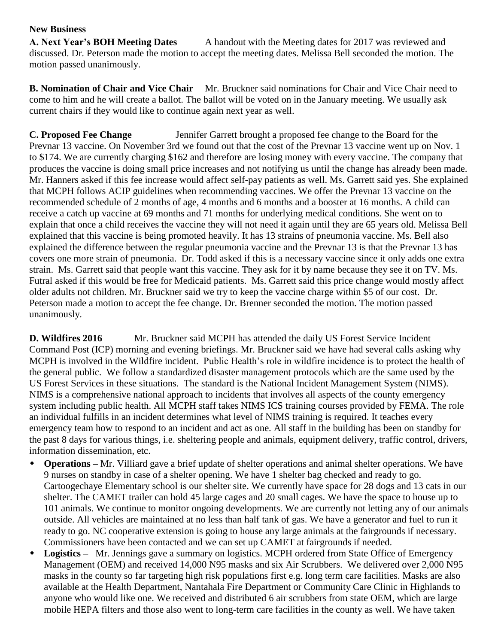### **New Business**

**A. Next Year's BOH Meeting Dates** A handout with the Meeting dates for 2017 was reviewed and discussed. Dr. Peterson made the motion to accept the meeting dates. Melissa Bell seconded the motion. The motion passed unanimously.

**B. Nomination of Chair and Vice Chair** Mr. Bruckner said nominations for Chair and Vice Chair need to come to him and he will create a ballot. The ballot will be voted on in the January meeting. We usually ask current chairs if they would like to continue again next year as well.

**C. Proposed Fee Change** Jennifer Garrett brought a proposed fee change to the Board for the Prevnar 13 vaccine. On November 3rd we found out that the cost of the Prevnar 13 vaccine went up on Nov. 1 to \$174. We are currently charging \$162 and therefore are losing money with every vaccine. The company that produces the vaccine is doing small price increases and not notifying us until the change has already been made. Mr. Hanners asked if this fee increase would affect self-pay patients as well. Ms. Garrett said yes. She explained that MCPH follows ACIP guidelines when recommending vaccines. We offer the Prevnar 13 vaccine on the recommended schedule of 2 months of age, 4 months and 6 months and a booster at 16 months. A child can receive a catch up vaccine at 69 months and 71 months for underlying medical conditions. She went on to explain that once a child receives the vaccine they will not need it again until they are 65 years old. Melissa Bell explained that this vaccine is being promoted heavily. It has 13 strains of pneumonia vaccine. Ms. Bell also explained the difference between the regular pneumonia vaccine and the Prevnar 13 is that the Prevnar 13 has covers one more strain of pneumonia. Dr. Todd asked if this is a necessary vaccine since it only adds one extra strain. Ms. Garrett said that people want this vaccine. They ask for it by name because they see it on TV. Ms. Futral asked if this would be free for Medicaid patients. Ms. Garrett said this price change would mostly affect older adults not children. Mr. Bruckner said we try to keep the vaccine charge within \$5 of our cost. Dr. Peterson made a motion to accept the fee change. Dr. Brenner seconded the motion. The motion passed unanimously.

**D. Wildfires 2016** Mr. Bruckner said MCPH has attended the daily US Forest Service Incident Command Post (ICP) morning and evening briefings. Mr. Bruckner said we have had several calls asking why MCPH is involved in the Wildfire incident. Public Health's role in wildfire incidence is to protect the health of the general public. We follow a standardized disaster management protocols which are the same used by the US Forest Services in these situations. The standard is the National Incident Management System (NIMS). NIMS is a comprehensive national approach to incidents that involves all aspects of the county emergency system including public health. All MCPH staff takes NIMS ICS training courses provided by FEMA. The role an individual fulfills in an incident determines what level of NIMS training is required. It teaches every emergency team how to respond to an incident and act as one. All staff in the building has been on standby for the past 8 days for various things, i.e. sheltering people and animals, equipment delivery, traffic control, drivers, information dissemination, etc.

- **Operations –** Mr. Villiard gave a brief update of shelter operations and animal shelter operations. We have 9 nurses on standby in case of a shelter opening. We have 1 shelter bag checked and ready to go. Cartoogechaye Elementary school is our shelter site. We currently have space for 28 dogs and 13 cats in our shelter. The CAMET trailer can hold 45 large cages and 20 small cages. We have the space to house up to 101 animals. We continue to monitor ongoing developments. We are currently not letting any of our animals outside. All vehicles are maintained at no less than half tank of gas. We have a generator and fuel to run it ready to go. NC cooperative extension is going to house any large animals at the fairgrounds if necessary. Commissioners have been contacted and we can set up CAMET at fairgrounds if needed.
- **Logistics –** Mr. Jennings gave a summary on logistics. MCPH ordered from State Office of Emergency Management (OEM) and received 14,000 N95 masks and six Air Scrubbers. We delivered over 2,000 N95 masks in the county so far targeting high risk populations first e.g. long term care facilities. Masks are also available at the Health Department, Nantahala Fire Department or Community Care Clinic in Highlands to anyone who would like one. We received and distributed 6 air scrubbers from state OEM, which are large mobile HEPA filters and those also went to long-term care facilities in the county as well. We have taken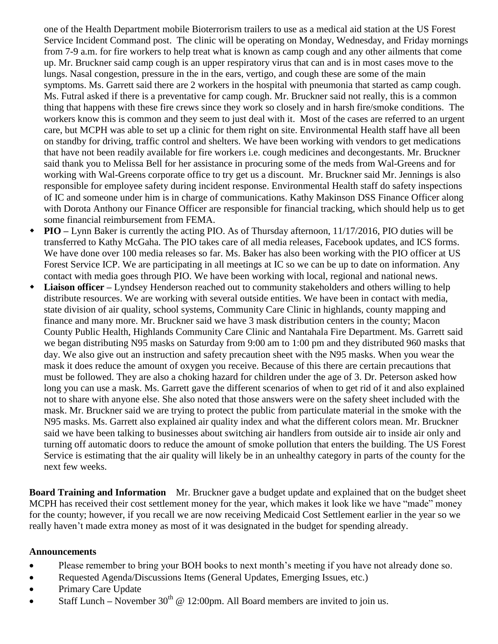one of the Health Department mobile Bioterrorism trailers to use as a medical aid station at the US Forest Service Incident Command post. The clinic will be operating on Monday, Wednesday, and Friday mornings from 7-9 a.m. for fire workers to help treat what is known as camp cough and any other ailments that come up. Mr. Bruckner said camp cough is an upper respiratory virus that can and is in most cases move to the lungs. Nasal congestion, pressure in the in the ears, vertigo, and cough these are some of the main symptoms. Ms. Garrett said there are 2 workers in the hospital with pneumonia that started as camp cough. Ms. Futral asked if there is a preventative for camp cough. Mr. Bruckner said not really, this is a common thing that happens with these fire crews since they work so closely and in harsh fire/smoke conditions. The workers know this is common and they seem to just deal with it. Most of the cases are referred to an urgent care, but MCPH was able to set up a clinic for them right on site. Environmental Health staff have all been on standby for driving, traffic control and shelters. We have been working with vendors to get medications that have not been readily available for fire workers i.e. cough medicines and decongestants. Mr. Bruckner said thank you to Melissa Bell for her assistance in procuring some of the meds from Wal-Greens and for working with Wal-Greens corporate office to try get us a discount. Mr. Bruckner said Mr. Jennings is also responsible for employee safety during incident response. Environmental Health staff do safety inspections of IC and someone under him is in charge of communications. Kathy Makinson DSS Finance Officer along with Dorota Anthony our Finance Officer are responsible for financial tracking, which should help us to get some financial reimbursement from FEMA.

- **PIO –** Lynn Baker is currently the acting PIO. As of Thursday afternoon, 11/17/2016, PIO duties will be transferred to Kathy McGaha. The PIO takes care of all media releases, Facebook updates, and ICS forms. We have done over 100 media releases so far. Ms. Baker has also been working with the PIO officer at US Forest Service ICP. We are participating in all meetings at IC so we can be up to date on information. Any contact with media goes through PIO. We have been working with local, regional and national news.
- **Liaison officer –** Lyndsey Henderson reached out to community stakeholders and others willing to help distribute resources. We are working with several outside entities. We have been in contact with media, state division of air quality, school systems, Community Care Clinic in highlands, county mapping and finance and many more. Mr. Bruckner said we have 3 mask distribution centers in the county; Macon County Public Health, Highlands Community Care Clinic and Nantahala Fire Department. Ms. Garrett said we began distributing N95 masks on Saturday from 9:00 am to 1:00 pm and they distributed 960 masks that day. We also give out an instruction and safety precaution sheet with the N95 masks. When you wear the mask it does reduce the amount of oxygen you receive. Because of this there are certain precautions that must be followed. They are also a choking hazard for children under the age of 3. Dr. Peterson asked how long you can use a mask. Ms. Garrett gave the different scenarios of when to get rid of it and also explained not to share with anyone else. She also noted that those answers were on the safety sheet included with the mask. Mr. Bruckner said we are trying to protect the public from particulate material in the smoke with the N95 masks. Ms. Garrett also explained air quality index and what the different colors mean. Mr. Bruckner said we have been talking to businesses about switching air handlers from outside air to inside air only and turning off automatic doors to reduce the amount of smoke pollution that enters the building. The US Forest Service is estimating that the air quality will likely be in an unhealthy category in parts of the county for the next few weeks.

**Board Training and Information** Mr. Bruckner gave a budget update and explained that on the budget sheet MCPH has received their cost settlement money for the year, which makes it look like we have "made" money for the county; however, if you recall we are now receiving Medicaid Cost Settlement earlier in the year so we really haven't made extra money as most of it was designated in the budget for spending already.

#### **Announcements**

- Please remember to bring your BOH books to next month's meeting if you have not already done so.
- Requested Agenda/Discussions Items (General Updates, Emerging Issues, etc.)
- Primary Care Update
- Staff Lunch November  $30^{th}$  @ 12:00pm. All Board members are invited to join us.